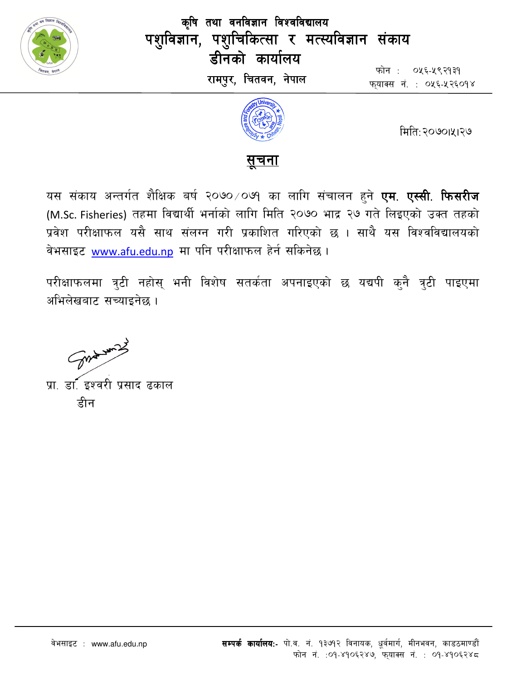

कृषि तथा वनविज्ञान विश्वविद्यालय पशुविज्ञान, पशुचिकित्सा र मत्स्यविज्ञान संकाय डीनको कार्यालय रामपुर, चितवन, नेपाल

फोन : ०५६-५९२१३१ फयाक्स नं. : ०५६-५२६०१४



मिति:२०७०।५।२७

# <u>सूचना</u>

यस संकाय अन्तर्गत शैक्षिक बर्ष २०७०⁄०७१ का लागि संचालन हुने **एम. एस्सी. फिसरीज** (M.Sc. Fisheries) तहमा विद्यार्थी भर्नाको लागि मिति २०७० भाद्र २७ गते लिइएको उक्त तहको प्रवेश परीक्षाफल यसै साथ संलग्न गरी प्रकाशित गरिएको छ । साथै यस विश्वविद्यालयको वेभसाइट www.afu.edu.np मा पनि परीक्षाफल हेर्न सकिनेछ।

परीक्षाफलमा त्रुटी नहोस् भनी विशेष सतर्कता अपनाइएको छ यद्यपी कुनै त्रुटी पाइएमा अभिलेखबाट सच्याइनेछ ।

Sure words

प्रा. डा. इश्वरी प्रसाद ढकाल हीन